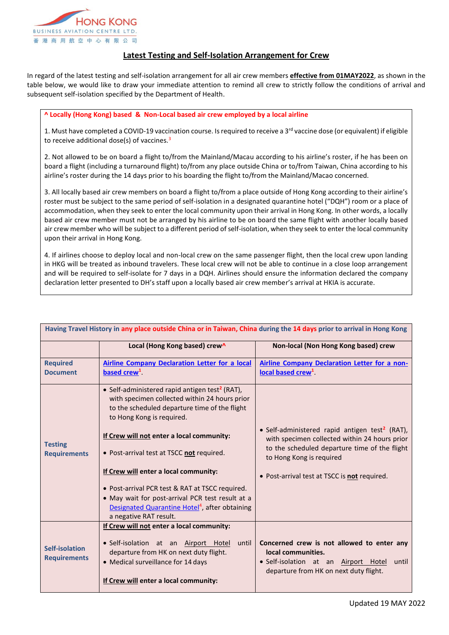

## **Latest Testing and Self-Isolation Arrangement for Crew**

In regard of the latest testing and self-isolation arrangement for all air crew members **effective from 01MAY2022**, as shown in the table below, we would like to draw your immediate attention to remind all crew to strictly follow the conditions of arrival and subsequent self-isolation specified by the Department of Health.

## **^ Locally (Hong Kong) based & Non-Local based air crew employed by a local airline**

1. Must have completed a COVID-19 vaccination course. Is required to receive a  $3^{rd}$  vaccine dose (or equivalent) if eligible to receive additional dose(s) of vaccines.<sup>3</sup>

2. Not allowed to be on board a flight to/from the Mainland/Macau according to his airline's roster, if he has been on board a flight (including a turnaround flight) to/from any place outside China or to/from Taiwan, China according to his airline's roster during the 14 days prior to his boarding the flight to/from the Mainland/Macao concerned.

3. All locally based air crew members on board a flight to/from a place outside of Hong Kong according to their airline's roster must be subject to the same period of self-isolation in a designated quarantine hotel ("DQH") room or a place of accommodation, when they seek to enter the local community upon their arrival in Hong Kong. In other words, a locally based air crew member must not be arranged by his airline to be on board the same flight with another locally based air crew member who will be subject to a different period of self-isolation, when they seek to enter the local community upon their arrival in Hong Kong.

4. If airlines choose to deploy local and non-local crew on the same passenger flight, then the local crew upon landing in HKG will be treated as inbound travelers. These local crew will not be able to continue in a close loop arrangement and will be required to self-isolate for 7 days in a DQH. Airlines should ensure the information declared the company declaration letter presented to DH's staff upon a locally based air crew member's arrival at HKIA is accurate.

|                                       | Local (Hong Kong based) crew^                                                                                                                                                             | Non-local (Non Hong Kong based) crew                                                                                                                        |
|---------------------------------------|-------------------------------------------------------------------------------------------------------------------------------------------------------------------------------------------|-------------------------------------------------------------------------------------------------------------------------------------------------------------|
| <b>Required</b>                       | <b>Airline Company Declaration Letter for a local</b>                                                                                                                                     | <b>Airline Company Declaration Letter for a non-</b>                                                                                                        |
| <b>Document</b>                       | based crew <sup>1</sup>                                                                                                                                                                   | local based crew <sup>1</sup>                                                                                                                               |
| <b>Testing</b><br><b>Requirements</b> | • Self-administered rapid antigen test <sup>2</sup> (RAT),<br>with specimen collected within 24 hours prior<br>to the scheduled departure time of the flight<br>to Hong Kong is required. |                                                                                                                                                             |
|                                       | If Crew will not enter a local community:                                                                                                                                                 | • Self-administered rapid antigen test <sup>2</sup> (RAT),<br>with specimen collected within 24 hours prior                                                 |
|                                       | • Post-arrival test at TSCC not required.                                                                                                                                                 | to the scheduled departure time of the flight<br>to Hong Kong is required                                                                                   |
|                                       | If Crew will enter a local community:                                                                                                                                                     | • Post-arrival test at TSCC is not required.                                                                                                                |
|                                       | • Post-arrival PCR test & RAT at TSCC required.                                                                                                                                           |                                                                                                                                                             |
|                                       | • May wait for post-arrival PCR test result at a                                                                                                                                          |                                                                                                                                                             |
|                                       | Designated Quarantine Hotel <sup>4</sup> , after obtaining<br>a negative RAT result.                                                                                                      |                                                                                                                                                             |
| Self-isolation<br><b>Requirements</b> | If Crew will not enter a local community:                                                                                                                                                 |                                                                                                                                                             |
|                                       | • Self-isolation at an Airport Hotel<br>until<br>departure from HK on next duty flight.<br>• Medical surveillance for 14 days                                                             | Concerned crew is not allowed to enter any<br>local communities.<br>· Self-isolation at an Airport Hotel<br>until<br>departure from HK on next duty flight. |
|                                       | If Crew will enter a local community:                                                                                                                                                     |                                                                                                                                                             |

**Having Travel History in any place outside China or in Taiwan, China during the 14 days prior to arrival in Hong Kong**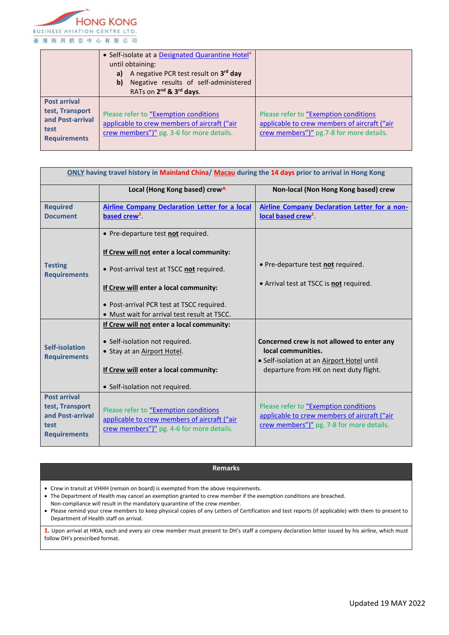

|                                                                                           | • Self-isolate at a Designated Quarantine Hotel <sup>4</sup><br>until obtaining:<br>A negative PCR test result on 3rd day<br>a)<br>Negative results of self-administered<br>b)<br>RATs on 2 <sup>nd</sup> & 3 <sup>rd</sup> days. |                                                                                                                                    |
|-------------------------------------------------------------------------------------------|-----------------------------------------------------------------------------------------------------------------------------------------------------------------------------------------------------------------------------------|------------------------------------------------------------------------------------------------------------------------------------|
| <b>Post arrival</b><br>test, Transport<br>and Post-arrival<br>test<br><b>Requirements</b> | Please refer to "Exemption conditions"<br>applicable to crew members of aircraft ("air<br>crew members")" pg. 3-6 for more details.                                                                                               | Please refer to "Exemption conditions"<br>applicable to crew members of aircraft ("air<br>crew members")" pg.7-8 for more details. |

| ONLY having travel history in Mainland China/ Macau during the 14 days prior to arrival in Hong Kong |                                                                                                                                    |                                                                                                                                    |  |  |
|------------------------------------------------------------------------------------------------------|------------------------------------------------------------------------------------------------------------------------------------|------------------------------------------------------------------------------------------------------------------------------------|--|--|
|                                                                                                      | Local (Hong Kong based) crew^                                                                                                      | Non-local (Non Hong Kong based) crew                                                                                               |  |  |
| <b>Required</b>                                                                                      | <b>Airline Company Declaration Letter for a local</b>                                                                              | Airline Company Declaration Letter for a non-                                                                                      |  |  |
| <b>Document</b>                                                                                      | based crew <sup>1</sup>                                                                                                            | local based crew <sup>1</sup>                                                                                                      |  |  |
| <b>Testing</b><br><b>Requirements</b>                                                                | • Pre-departure test not required.                                                                                                 |                                                                                                                                    |  |  |
|                                                                                                      | If Crew will not enter a local community:                                                                                          |                                                                                                                                    |  |  |
|                                                                                                      | • Post-arrival test at TSCC not required.                                                                                          | • Pre-departure test not required.                                                                                                 |  |  |
|                                                                                                      | If Crew will enter a local community:                                                                                              | • Arrival test at TSCC is not required.                                                                                            |  |  |
|                                                                                                      | • Post-arrival PCR test at TSCC required.                                                                                          |                                                                                                                                    |  |  |
|                                                                                                      | • Must wait for arrival test result at TSCC.                                                                                       |                                                                                                                                    |  |  |
| Self-isolation<br><b>Requirements</b>                                                                | If Crew will not enter a local community:                                                                                          |                                                                                                                                    |  |  |
|                                                                                                      | • Self-isolation not required.                                                                                                     | Concerned crew is not allowed to enter any                                                                                         |  |  |
|                                                                                                      | • Stay at an Airport Hotel.                                                                                                        | local communities.                                                                                                                 |  |  |
|                                                                                                      |                                                                                                                                    | • Self-isolation at an Airport Hotel until                                                                                         |  |  |
|                                                                                                      | If Crew will enter a local community:                                                                                              | departure from HK on next duty flight.                                                                                             |  |  |
|                                                                                                      | • Self-isolation not required.                                                                                                     |                                                                                                                                    |  |  |
| <b>Post arrival</b><br>test, Transport<br>and Post-arrival<br>test<br><b>Requirements</b>            | Please refer to "Exemption conditions<br>applicable to crew members of aircraft ("air<br>crew members")" pg. 4-6 for more details. | Please refer to "Exemption conditions<br>applicable to crew members of aircraft ("air<br>crew members")" pg. 7-8 for more details. |  |  |

## **Remarks**

Crew in transit at VHHH (remain on board) is exempted from the above requirements.

The Department of Health may cancel an exemption granted to crew member if the exemption conditions are breached.

Non-compliance will result in the mandatory quarantine of the crew member.

 Please remind your crew members to keep physical copies of any Letters of Certification and test reports (if applicable) with them to present to Department of Health staff on arrival.

**1.** Upon arrival at HKIA, each and every air crew member must present to DH's staff a company declaration letter issued by his airline, which must follow DH's prescribed format.